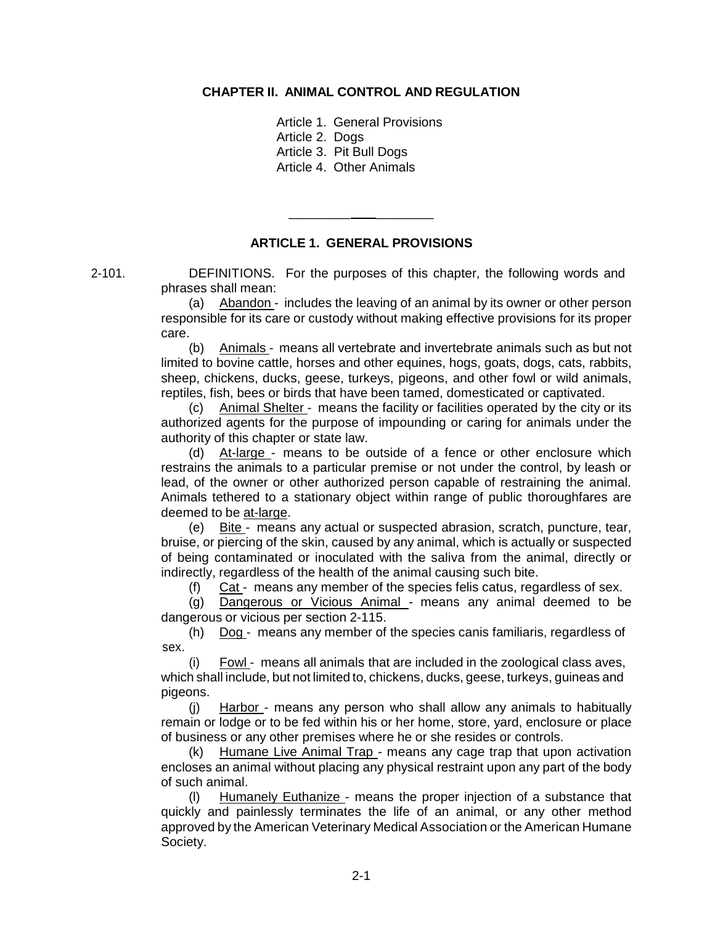#### **CHAPTER II. ANIMAL CONTROL AND REGULATION**

Article 1. General Provisions Article 2. Dogs Article 3. Pit Bull Dogs Article 4. Other Animals

**ARTICLE 1. GENERAL PROVISIONS**

\_\_\_\_\_\_\_\_\_ \_\_\_\_\_\_\_\_

2-101. DEFINITIONS. For the purposes of this chapter, the following words and phrases shall mean:

> (a) Abandon - includes the leaving of an animal by its owner or other person responsible for its care or custody without making effective provisions for its proper care.

> (b) Animals - means all vertebrate and invertebrate animals such as but not limited to bovine cattle, horses and other equines, hogs, goats, dogs, cats, rabbits, sheep, chickens, ducks, geese, turkeys, pigeons, and other fowl or wild animals, reptiles, fish, bees or birds that have been tamed, domesticated or captivated.

> (c) Animal Shelter - means the facility or facilities operated by the city or its authorized agents for the purpose of impounding or caring for animals under the authority of this chapter or state law.

> (d) At-large - means to be outside of a fence or other enclosure which restrains the animals to a particular premise or not under the control, by leash or lead, of the owner or other authorized person capable of restraining the animal. Animals tethered to a stationary object within range of public thoroughfares are deemed to be at-large.

> (e) Bite - means any actual or suspected abrasion, scratch, puncture, tear, bruise, or piercing of the skin, caused by any animal, which is actually or suspected of being contaminated or inoculated with the saliva from the animal, directly or indirectly, regardless of the health of the animal causing such bite.

(f) Cat - means any member of the species felis catus, regardless of sex.

(g) Dangerous or Vicious Animal - means any animal deemed to be dangerous or vicious per section 2-115.

(h) Dog - means any member of the species canis familiaris, regardless of sex.

(i) Fowl - means all animals that are included in the zoological class aves, which shall include, but not limited to, chickens, ducks, geese, turkeys, guineas and pigeons.

(j) Harbor - means any person who shall allow any animals to habitually remain or lodge or to be fed within his or her home, store, yard, enclosure or place of business or any other premises where he or she resides or controls.

(k) Humane Live Animal Trap - means any cage trap that upon activation encloses an animal without placing any physical restraint upon any part of the body of such animal.

(l) Humanely Euthanize - means the proper injection of a substance that quickly and painlessly terminates the life of an animal, or any other method approved by the American Veterinary Medical Association or the American Humane Society.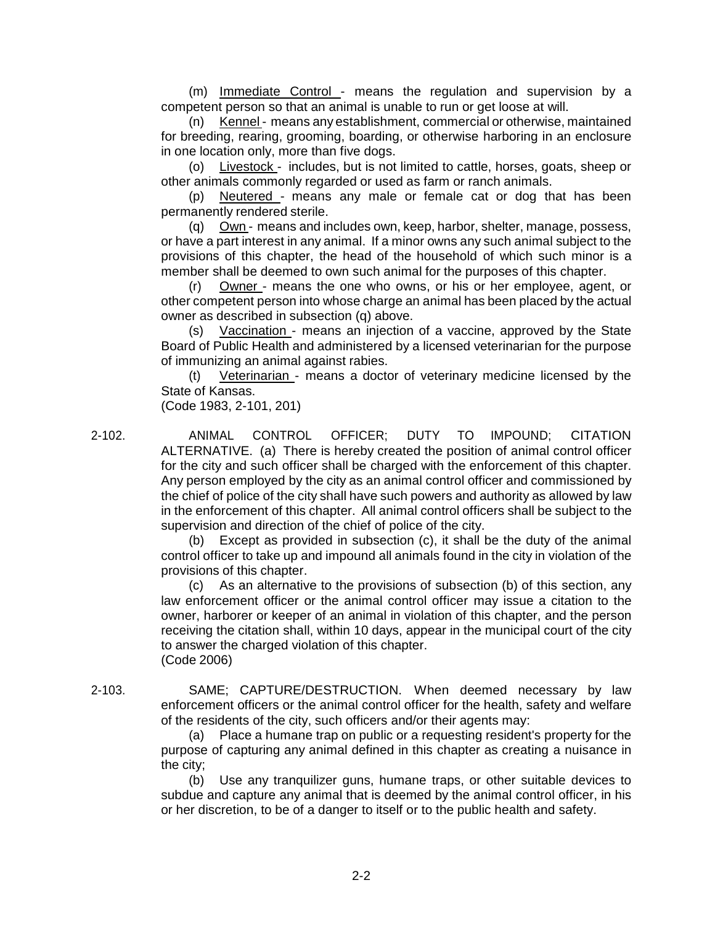(m) Immediate Control - means the regulation and supervision by a competent person so that an animal is unable to run or get loose at will.

(n) Kennel - means any establishment, commercial or otherwise, maintained for breeding, rearing, grooming, boarding, or otherwise harboring in an enclosure in one location only, more than five dogs.

(o) Livestock - includes, but is not limited to cattle, horses, goats, sheep or other animals commonly regarded or used as farm or ranch animals.

(p) Neutered - means any male or female cat or dog that has been permanently rendered sterile.

(q) Own - means and includes own, keep, harbor, shelter, manage, possess, or have a part interest in any animal. If a minor owns any such animal subject to the provisions of this chapter, the head of the household of which such minor is a member shall be deemed to own such animal for the purposes of this chapter.

Owner - means the one who owns, or his or her employee, agent, or other competent person into whose charge an animal has been placed by the actual owner as described in subsection (q) above.

(s) Vaccination - means an injection of a vaccine, approved by the State Board of Public Health and administered by a licensed veterinarian for the purpose of immunizing an animal against rabies.

(t) Veterinarian - means a doctor of veterinary medicine licensed by the State of Kansas.

(Code 1983, 2-101, 201)

2-102. ANIMAL CONTROL OFFICER; DUTY TO IMPOUND; CITATION ALTERNATIVE. (a) There is hereby created the position of animal control officer for the city and such officer shall be charged with the enforcement of this chapter. Any person employed by the city as an animal control officer and commissioned by the chief of police of the city shall have such powers and authority as allowed by law in the enforcement of this chapter. All animal control officers shall be subject to the supervision and direction of the chief of police of the city.

> (b) Except as provided in subsection (c), it shall be the duty of the animal control officer to take up and impound all animals found in the city in violation of the provisions of this chapter.

> (c) As an alternative to the provisions of subsection (b) of this section, any law enforcement officer or the animal control officer may issue a citation to the owner, harborer or keeper of an animal in violation of this chapter, and the person receiving the citation shall, within 10 days, appear in the municipal court of the city to answer the charged violation of this chapter. (Code 2006)

2-103. SAME; CAPTURE/DESTRUCTION. When deemed necessary by law enforcement officers or the animal control officer for the health, safety and welfare of the residents of the city, such officers and/or their agents may:

> (a) Place a humane trap on public or a requesting resident's property for the purpose of capturing any animal defined in this chapter as creating a nuisance in the city;

> (b) Use any tranquilizer guns, humane traps, or other suitable devices to subdue and capture any animal that is deemed by the animal control officer, in his or her discretion, to be of a danger to itself or to the public health and safety.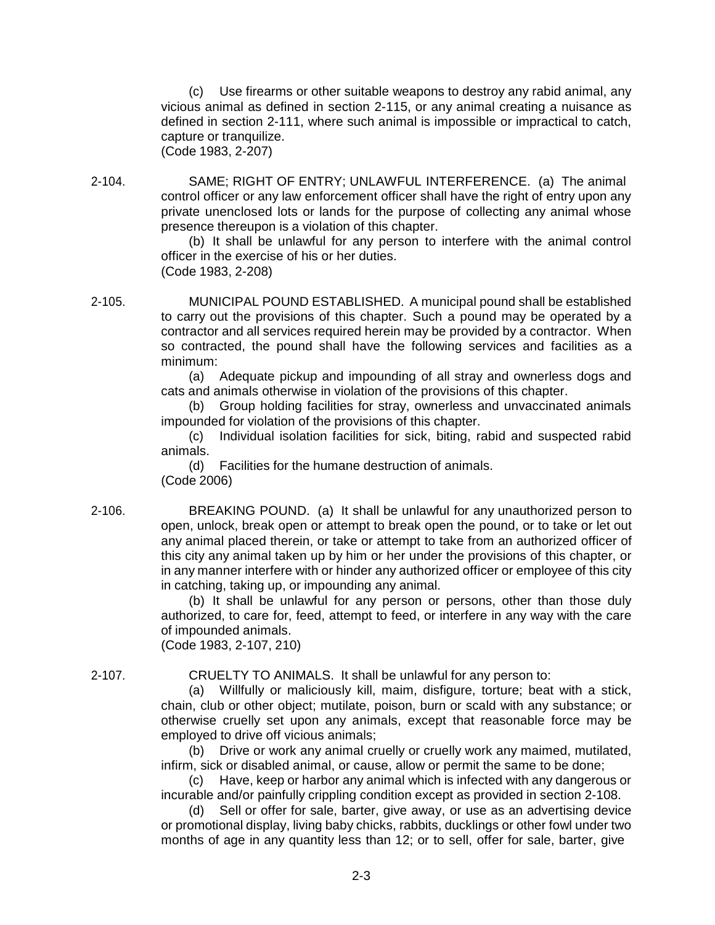(c) Use firearms or other suitable weapons to destroy any rabid animal, any vicious animal as defined in section 2-115, or any animal creating a nuisance as defined in section 2-111, where such animal is impossible or impractical to catch, capture or tranquilize. (Code 1983, 2-207)

2-104. SAME; RIGHT OF ENTRY; UNLAWFUL INTERFERENCE. (a) The animal control officer or any law enforcement officer shall have the right of entry upon any private unenclosed lots or lands for the purpose of collecting any animal whose presence thereupon is a violation of this chapter.

(b) It shall be unlawful for any person to interfere with the animal control officer in the exercise of his or her duties. (Code 1983, 2-208)

2-105. MUNICIPAL POUND ESTABLISHED. A municipal pound shall be established to carry out the provisions of this chapter. Such a pound may be operated by a contractor and all services required herein may be provided by a contractor. When so contracted, the pound shall have the following services and facilities as a minimum:

> (a) Adequate pickup and impounding of all stray and ownerless dogs and cats and animals otherwise in violation of the provisions of this chapter.

> (b) Group holding facilities for stray, ownerless and unvaccinated animals impounded for violation of the provisions of this chapter.

> (c) Individual isolation facilities for sick, biting, rabid and suspected rabid animals.

(d) Facilities for the humane destruction of animals. (Code 2006)

2-106. BREAKING POUND. (a) It shall be unlawful for any unauthorized person to open, unlock, break open or attempt to break open the pound, or to take or let out any animal placed therein, or take or attempt to take from an authorized officer of this city any animal taken up by him or her under the provisions of this chapter, or in any manner interfere with or hinder any authorized officer or employee of this city in catching, taking up, or impounding any animal.

> (b) It shall be unlawful for any person or persons, other than those duly authorized, to care for, feed, attempt to feed, or interfere in any way with the care of impounded animals.

(Code 1983, 2-107, 210)

2-107. CRUELTY TO ANIMALS. It shall be unlawful for any person to:

(a) Willfully or maliciously kill, maim, disfigure, torture; beat with a stick, chain, club or other object; mutilate, poison, burn or scald with any substance; or otherwise cruelly set upon any animals, except that reasonable force may be employed to drive off vicious animals;

(b) Drive or work any animal cruelly or cruelly work any maimed, mutilated, infirm, sick or disabled animal, or cause, allow or permit the same to be done;

(c) Have, keep or harbor any animal which is infected with any dangerous or incurable and/or painfully crippling condition except as provided in section 2-108.

(d) Sell or offer for sale, barter, give away, or use as an advertising device or promotional display, living baby chicks, rabbits, ducklings or other fowl under two months of age in any quantity less than 12; or to sell, offer for sale, barter, give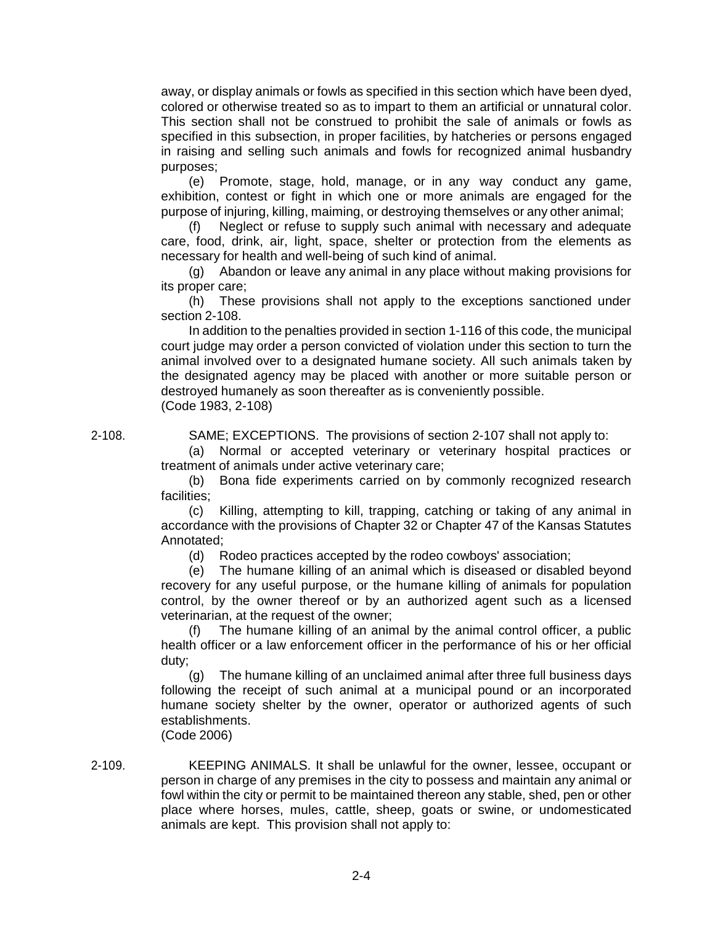away, or display animals or fowls as specified in this section which have been dyed, colored or otherwise treated so as to impart to them an artificial or unnatural color. This section shall not be construed to prohibit the sale of animals or fowls as specified in this subsection, in proper facilities, by hatcheries or persons engaged in raising and selling such animals and fowls for recognized animal husbandry purposes;

(e) Promote, stage, hold, manage, or in any way conduct any game, exhibition, contest or fight in which one or more animals are engaged for the purpose of injuring, killing, maiming, or destroying themselves or any other animal;

(f) Neglect or refuse to supply such animal with necessary and adequate care, food, drink, air, light, space, shelter or protection from the elements as necessary for health and well-being of such kind of animal.

(g) Abandon or leave any animal in any place without making provisions for its proper care;

(h) These provisions shall not apply to the exceptions sanctioned under section 2-108.

In addition to the penalties provided in section 1-116 of this code, the municipal court judge may order a person convicted of violation under this section to turn the animal involved over to a designated humane society. All such animals taken by the designated agency may be placed with another or more suitable person or destroyed humanely as soon thereafter as is conveniently possible. (Code 1983, 2-108)

2-108. SAME; EXCEPTIONS. The provisions of section 2-107 shall not apply to:

(a) Normal or accepted veterinary or veterinary hospital practices or treatment of animals under active veterinary care;

(b) Bona fide experiments carried on by commonly recognized research facilities;

(c) Killing, attempting to kill, trapping, catching or taking of any animal in accordance with the provisions of Chapter 32 or Chapter 47 of the Kansas Statutes Annotated;

(d) Rodeo practices accepted by the rodeo cowboys' association;

(e) The humane killing of an animal which is diseased or disabled beyond recovery for any useful purpose, or the humane killing of animals for population control, by the owner thereof or by an authorized agent such as a licensed veterinarian, at the request of the owner;

(f) The humane killing of an animal by the animal control officer, a public health officer or a law enforcement officer in the performance of his or her official duty;

(g) The humane killing of an unclaimed animal after three full business days following the receipt of such animal at a municipal pound or an incorporated humane society shelter by the owner, operator or authorized agents of such establishments.

(Code 2006)

2-109. KEEPING ANIMALS. It shall be unlawful for the owner, lessee, occupant or person in charge of any premises in the city to possess and maintain any animal or fowl within the city or permit to be maintained thereon any stable, shed, pen or other place where horses, mules, cattle, sheep, goats or swine, or undomesticated animals are kept. This provision shall not apply to: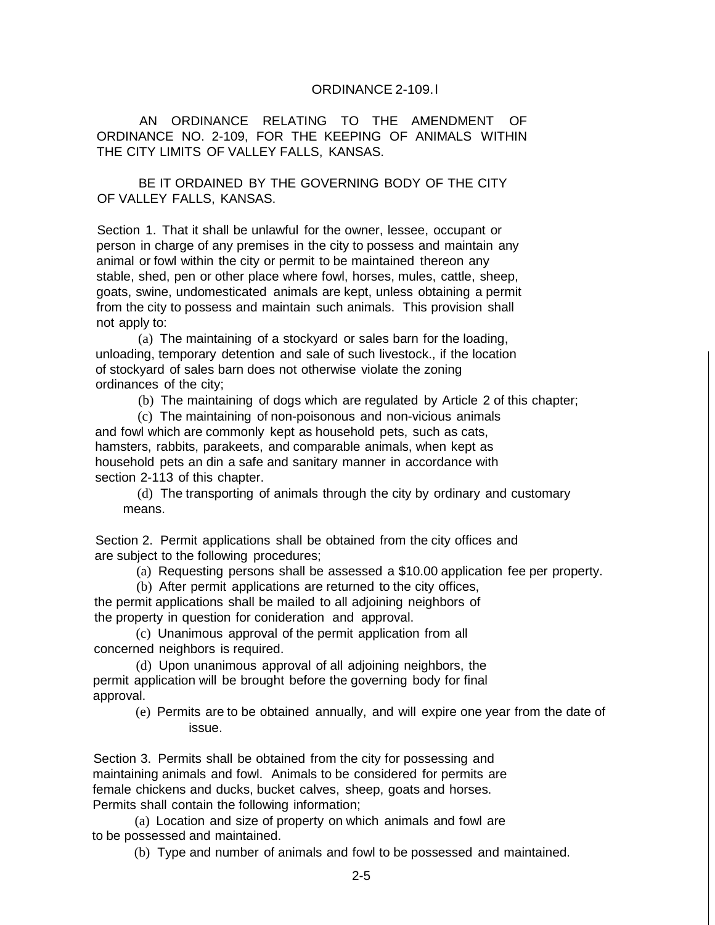#### ORDINANCE 2-109.l

AN ORDINANCE RELATING TO THE AMENDMENT OF ORDINANCE NO. 2-109, FOR THE KEEPING OF ANIMALS WITHIN THE CITY LIMITS OF VALLEY FALLS, KANSAS.

BE IT ORDAINED BY THE GOVERNING BODY OF THE CITY OF VALLEY FALLS, KANSAS.

Section 1. That it shall be unlawful for the owner, lessee, occupant or person in charge of any premises in the city to possess and maintain any animal or fowl within the city or permit to be maintained thereon any stable, shed, pen or other place where fowl, horses, mules, cattle, sheep, goats, swine, undomesticated animals are kept, unless obtaining a permit from the city to possess and maintain such animals. This provision shall not apply to:

(a) The maintaining of a stockyard or sales barn for the loading, unloading, temporary detention and sale of such livestock., if the location of stockyard of sales barn does not otherwise violate the zoning ordinances of the city;

(b) The maintaining of dogs which are regulated by Article 2 of this chapter;

(c) The maintaining of non-poisonous and non-vicious animals and fowl which are commonly kept as household pets, such as cats, hamsters, rabbits, parakeets, and comparable animals, when kept as household pets an din a safe and sanitary manner in accordance with section 2-113 of this chapter.

(d) The transporting of animals through the city by ordinary and customary means.

Section 2. Permit applications shall be obtained from the city offices and are subject to the following procedures;

(a) Requesting persons shall be assessed a \$10.00 application fee per property.

(b) After permit applications are returned to the city offices,

the permit applications shall be mailed to all adjoining neighbors of the property in question for conideration and approval.

(c) Unanimous approval of the permit application from all concerned neighbors is required.

(d) Upon unanimous approval of all adjoining neighbors, the permit application will be brought before the governing body for final approval.

> (e) Permits are to be obtained annually, and will expire one year from the date of issue.

Section 3. Permits shall be obtained from the city for possessing and maintaining animals and fowl. Animals to be considered for permits are female chickens and ducks, bucket calves, sheep, goats and horses. Permits shall contain the following information;

(a) Location and size of property on which animals and fowl are to be possessed and maintained.

(b) Type and number of animals and fowl to be possessed and maintained.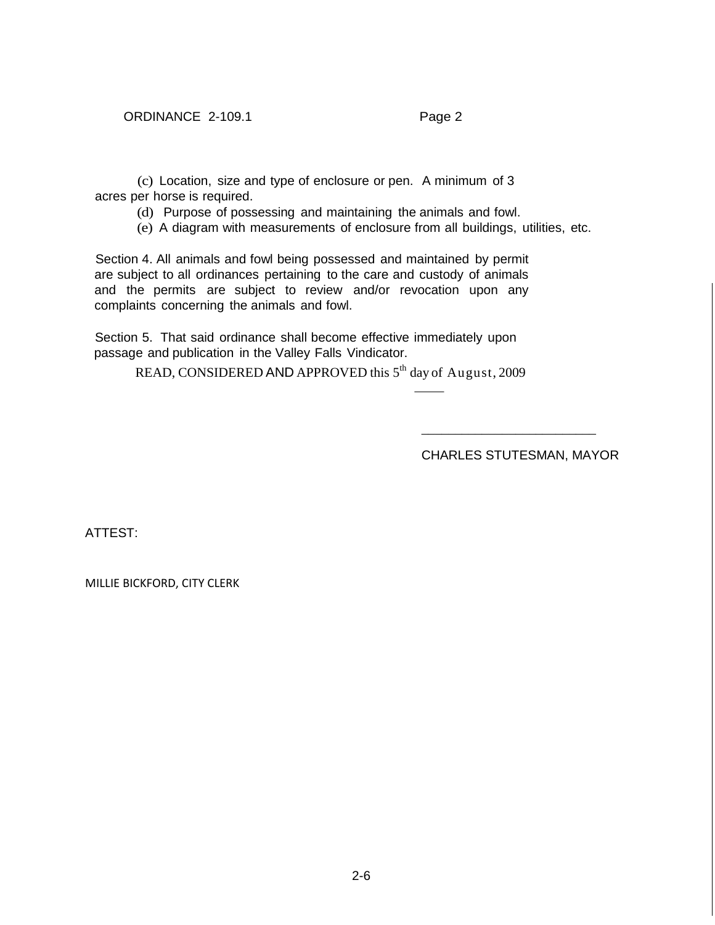(c) Location, size and type of enclosure or pen. A minimum of 3 acres per horse is required.

(d) Purpose of possessing and maintaining the animals and fowl.

(e) A diagram with measurements of enclosure from all buildings, utilities, etc.

Section 4. All animals and fowl being possessed and maintained by permit are subject to all ordinances pertaining to the care and custody of animals and the permits are subject to review and/or revocation upon any complaints concerning the animals and fowl.

Section 5. That said ordinance shall become effective immediately upon passage and publication in the Valley Falls Vindicator.

READ, CONSIDERED AND APPROVED this 5<sup>th</sup> day of August, 2009

CHARLES STUTESMAN, MAYOR

\_\_\_\_\_\_\_\_\_\_\_\_\_\_\_\_\_\_\_\_\_\_\_\_\_\_

ATTEST:

MILLIE BICKFORD, CITY CLERK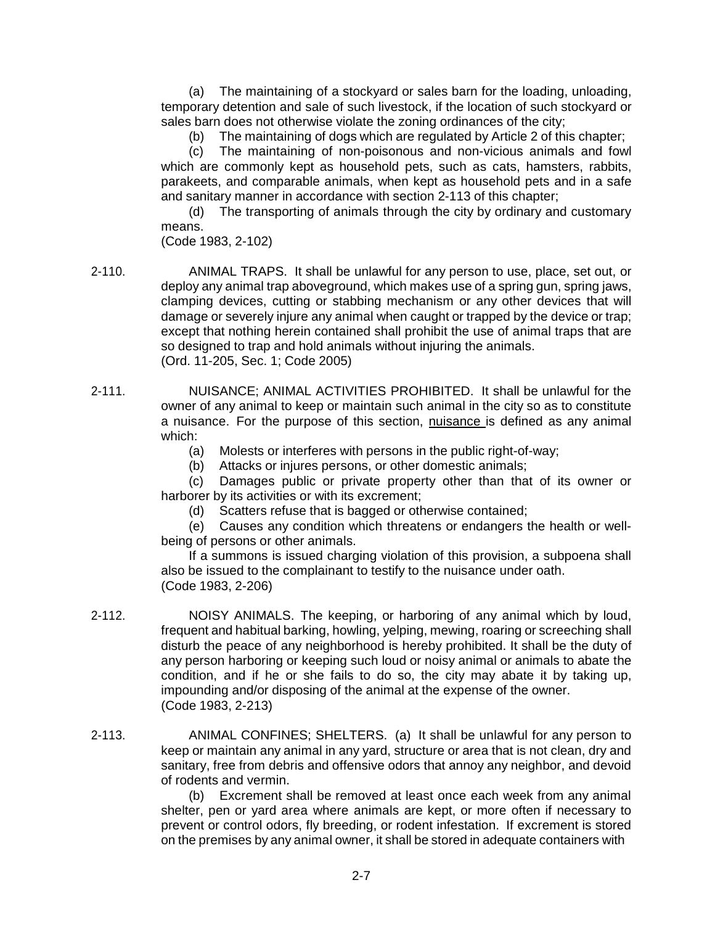(a) The maintaining of a stockyard or sales barn for the loading, unloading, temporary detention and sale of such livestock, if the location of such stockyard or sales barn does not otherwise violate the zoning ordinances of the city;

(b) The maintaining of dogs which are regulated by Article 2 of this chapter;

(c) The maintaining of non-poisonous and non-vicious animals and fowl which are commonly kept as household pets, such as cats, hamsters, rabbits, parakeets, and comparable animals, when kept as household pets and in a safe and sanitary manner in accordance with section 2-113 of this chapter;

(d) The transporting of animals through the city by ordinary and customary means.

(Code 1983, 2-102)

2-110. ANIMAL TRAPS. It shall be unlawful for any person to use, place, set out, or deploy any animal trap aboveground, which makes use of a spring gun, spring jaws, clamping devices, cutting or stabbing mechanism or any other devices that will damage or severely injure any animal when caught or trapped by the device or trap; except that nothing herein contained shall prohibit the use of animal traps that are so designed to trap and hold animals without injuring the animals. (Ord. 11-205, Sec. 1; Code 2005)

- 2-111. NUISANCE; ANIMAL ACTIVITIES PROHIBITED. It shall be unlawful for the owner of any animal to keep or maintain such animal in the city so as to constitute a nuisance. For the purpose of this section, nuisance is defined as any animal which:
	- (a) Molests or interferes with persons in the public right-of-way;

(b) Attacks or injures persons, or other domestic animals;

(c) Damages public or private property other than that of its owner or harborer by its activities or with its excrement;

(d) Scatters refuse that is bagged or otherwise contained;

(e) Causes any condition which threatens or endangers the health or wellbeing of persons or other animals.

If a summons is issued charging violation of this provision, a subpoena shall also be issued to the complainant to testify to the nuisance under oath. (Code 1983, 2-206)

- 2-112. NOISY ANIMALS. The keeping, or harboring of any animal which by loud, frequent and habitual barking, howling, yelping, mewing, roaring or screeching shall disturb the peace of any neighborhood is hereby prohibited. It shall be the duty of any person harboring or keeping such loud or noisy animal or animals to abate the condition, and if he or she fails to do so, the city may abate it by taking up, impounding and/or disposing of the animal at the expense of the owner. (Code 1983, 2-213)
- 2-113. ANIMAL CONFINES; SHELTERS. (a) It shall be unlawful for any person to keep or maintain any animal in any yard, structure or area that is not clean, dry and sanitary, free from debris and offensive odors that annoy any neighbor, and devoid of rodents and vermin.

(b) Excrement shall be removed at least once each week from any animal shelter, pen or yard area where animals are kept, or more often if necessary to prevent or control odors, fly breeding, or rodent infestation. If excrement is stored on the premises by any animal owner, it shall be stored in adequate containers with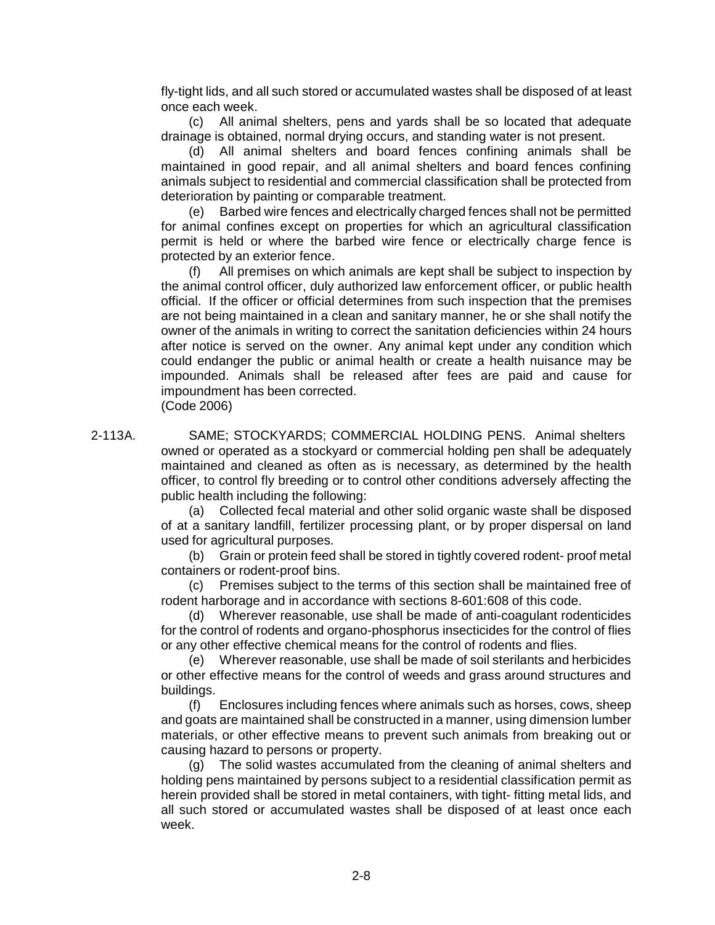fly-tight lids, and all such stored or accumulated wastes shall be disposed of at least once each week.

(c) All animal shelters, pens and yards shall be so located that adequate drainage is obtained, normal drying occurs, and standing water is not present.

(d) All animal shelters and board fences confining animals shall be maintained in good repair, and all animal shelters and board fences confining animals subject to residential and commercial classification shall be protected from deterioration by painting or comparable treatment.

(e) Barbed wire fences and electrically charged fences shall not be permitted for animal confines except on properties for which an agricultural classification permit is held or where the barbed wire fence or electrically charge fence is protected by an exterior fence.

(f) All premises on which animals are kept shall be subject to inspection by the animal control officer, duly authorized law enforcement officer, or public health official. If the officer or official determines from such inspection that the premises are not being maintained in a clean and sanitary manner, he or she shall notify the owner of the animals in writing to correct the sanitation deficiencies within 24 hours after notice is served on the owner. Any animal kept under any condition which could endanger the public or animal health or create a health nuisance may be impounded. Animals shall be released after fees are paid and cause for impoundment has been corrected.

(Code 2006)

2-113A. SAME; STOCKYARDS; COMMERCIAL HOLDING PENS. Animal shelters owned or operated as a stockyard or commercial holding pen shall be adequately maintained and cleaned as often as is necessary, as determined by the health officer, to control fly breeding or to control other conditions adversely affecting the public health including the following:

> (a) Collected fecal material and other solid organic waste shall be disposed of at a sanitary landfill, fertilizer processing plant, or by proper dispersal on land used for agricultural purposes.

> (b) Grain or protein feed shall be stored in tightly covered rodent- proof metal containers or rodent-proof bins.

> (c) Premises subject to the terms of this section shall be maintained free of rodent harborage and in accordance with sections 8-601:608 of this code.

> (d) Wherever reasonable, use shall be made of anti-coagulant rodenticides for the control of rodents and organo-phosphorus insecticides for the control of flies or any other effective chemical means for the control of rodents and flies.

> (e) Wherever reasonable, use shall be made of soil sterilants and herbicides or other effective means for the control of weeds and grass around structures and buildings.

> (f) Enclosures including fences where animals such as horses, cows, sheep and goats are maintained shall be constructed in a manner, using dimension lumber materials, or other effective means to prevent such animals from breaking out or causing hazard to persons or property.

> (g) The solid wastes accumulated from the cleaning of animal shelters and holding pens maintained by persons subject to a residential classification permit as herein provided shall be stored in metal containers, with tight- fitting metal lids, and all such stored or accumulated wastes shall be disposed of at least once each week.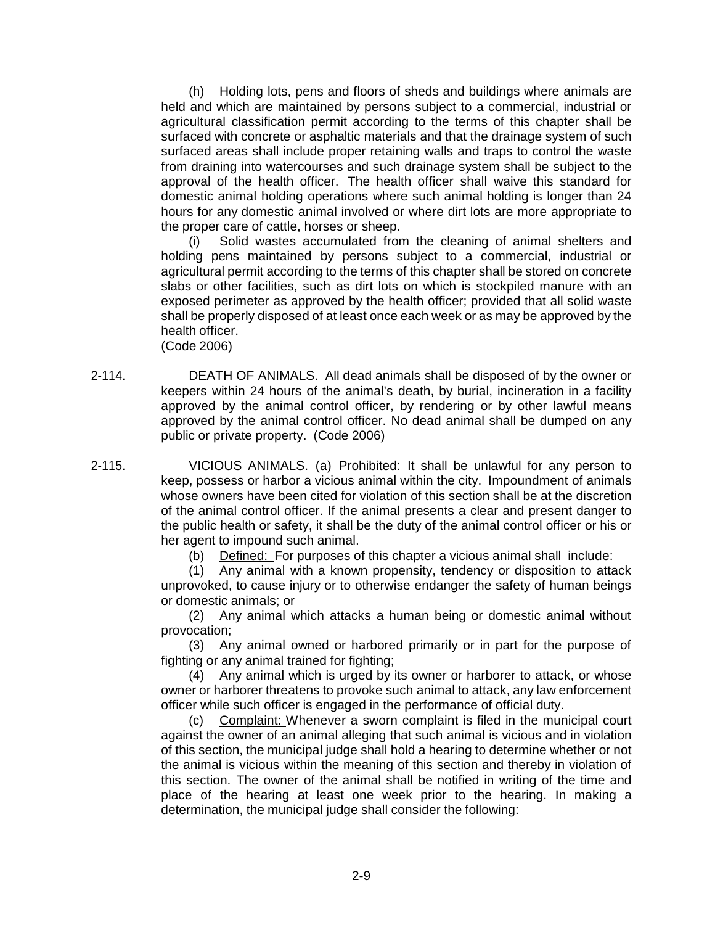(h) Holding lots, pens and floors of sheds and buildings where animals are held and which are maintained by persons subject to a commercial, industrial or agricultural classification permit according to the terms of this chapter shall be surfaced with concrete or asphaltic materials and that the drainage system of such surfaced areas shall include proper retaining walls and traps to control the waste from draining into watercourses and such drainage system shall be subject to the approval of the health officer. The health officer shall waive this standard for domestic animal holding operations where such animal holding is longer than 24 hours for any domestic animal involved or where dirt lots are more appropriate to the proper care of cattle, horses or sheep.

(i) Solid wastes accumulated from the cleaning of animal shelters and holding pens maintained by persons subject to a commercial, industrial or agricultural permit according to the terms of this chapter shall be stored on concrete slabs or other facilities, such as dirt lots on which is stockpiled manure with an exposed perimeter as approved by the health officer; provided that all solid waste shall be properly disposed of at least once each week or as may be approved by the health officer.

(Code 2006)

- 2-114. DEATH OF ANIMALS. All dead animals shall be disposed of by the owner or keepers within 24 hours of the animal's death, by burial, incineration in a facility approved by the animal control officer, by rendering or by other lawful means approved by the animal control officer. No dead animal shall be dumped on any public or private property. (Code 2006)
- 2-115. VICIOUS ANIMALS. (a) Prohibited: It shall be unlawful for any person to keep, possess or harbor a vicious animal within the city. Impoundment of animals whose owners have been cited for violation of this section shall be at the discretion of the animal control officer. If the animal presents a clear and present danger to the public health or safety, it shall be the duty of the animal control officer or his or her agent to impound such animal.

(b) Defined: For purposes of this chapter a vicious animal shall include:

(1) Any animal with a known propensity, tendency or disposition to attack unprovoked, to cause injury or to otherwise endanger the safety of human beings or domestic animals; or

(2) Any animal which attacks a human being or domestic animal without provocation;

(3) Any animal owned or harbored primarily or in part for the purpose of fighting or any animal trained for fighting;

(4) Any animal which is urged by its owner or harborer to attack, or whose owner or harborer threatens to provoke such animal to attack, any law enforcement officer while such officer is engaged in the performance of official duty.

(c) Complaint: Whenever a sworn complaint is filed in the municipal court against the owner of an animal alleging that such animal is vicious and in violation of this section, the municipal judge shall hold a hearing to determine whether or not the animal is vicious within the meaning of this section and thereby in violation of this section. The owner of the animal shall be notified in writing of the time and place of the hearing at least one week prior to the hearing. In making a determination, the municipal judge shall consider the following: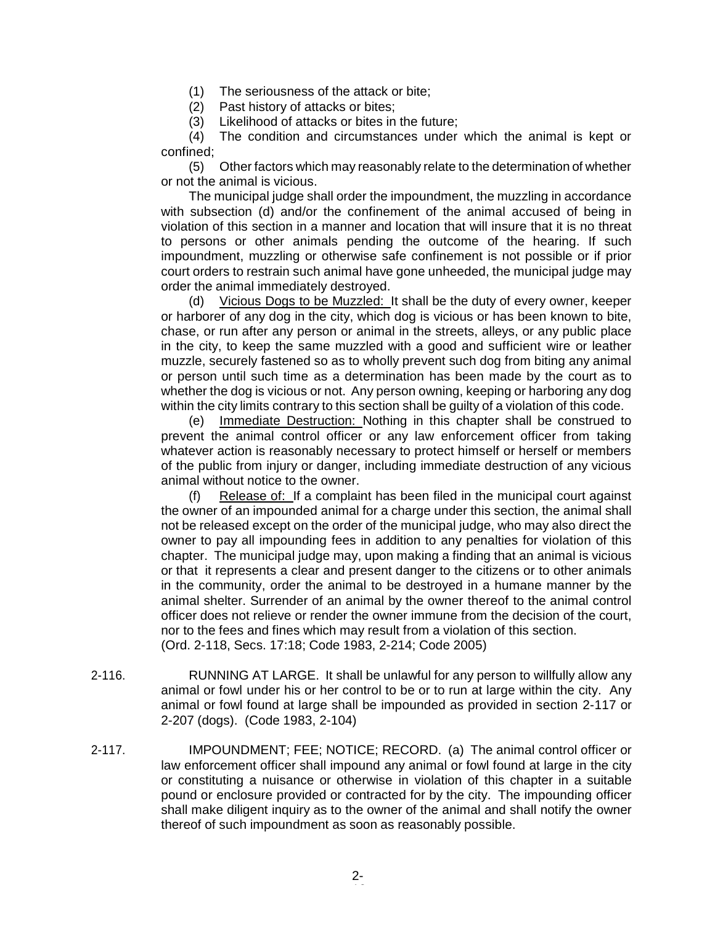(1) The seriousness of the attack or bite;

- (2) Past history of attacks or bites;
- (3) Likelihood of attacks or bites in the future;

(4) The condition and circumstances under which the animal is kept or confined;

(5) Other factors which may reasonably relate to the determination of whether or not the animal is vicious.

The municipal judge shall order the impoundment, the muzzling in accordance with subsection (d) and/or the confinement of the animal accused of being in violation of this section in a manner and location that will insure that it is no threat to persons or other animals pending the outcome of the hearing. If such impoundment, muzzling or otherwise safe confinement is not possible or if prior court orders to restrain such animal have gone unheeded, the municipal judge may order the animal immediately destroyed.

(d) Vicious Dogs to be Muzzled: It shall be the duty of every owner, keeper or harborer of any dog in the city, which dog is vicious or has been known to bite, chase, or run after any person or animal in the streets, alleys, or any public place in the city, to keep the same muzzled with a good and sufficient wire or leather muzzle, securely fastened so as to wholly prevent such dog from biting any animal or person until such time as a determination has been made by the court as to whether the dog is vicious or not. Any person owning, keeping or harboring any dog within the city limits contrary to this section shall be guilty of a violation of this code.

(e) Immediate Destruction: Nothing in this chapter shall be construed to prevent the animal control officer or any law enforcement officer from taking whatever action is reasonably necessary to protect himself or herself or members of the public from injury or danger, including immediate destruction of any vicious animal without notice to the owner.

(f) Release of: If a complaint has been filed in the municipal court against the owner of an impounded animal for a charge under this section, the animal shall not be released except on the order of the municipal judge, who may also direct the owner to pay all impounding fees in addition to any penalties for violation of this chapter. The municipal judge may, upon making a finding that an animal is vicious or that it represents a clear and present danger to the citizens or to other animals in the community, order the animal to be destroyed in a humane manner by the animal shelter. Surrender of an animal by the owner thereof to the animal control officer does not relieve or render the owner immune from the decision of the court, nor to the fees and fines which may result from a violation of this section. (Ord. 2-118, Secs. 17:18; Code 1983, 2-214; Code 2005)

- 2-116. RUNNING AT LARGE. It shall be unlawful for any person to willfully allow any animal or fowl under his or her control to be or to run at large within the city. Any animal or fowl found at large shall be impounded as provided in section 2-117 or 2-207 (dogs). (Code 1983, 2-104)
- 2-117. IMPOUNDMENT; FEE; NOTICE; RECORD. (a) The animal control officer or law enforcement officer shall impound any animal or fowl found at large in the city or constituting a nuisance or otherwise in violation of this chapter in a suitable pound or enclosure provided or contracted for by the city. The impounding officer shall make diligent inquiry as to the owner of the animal and shall notify the owner thereof of such impoundment as soon as reasonably possible.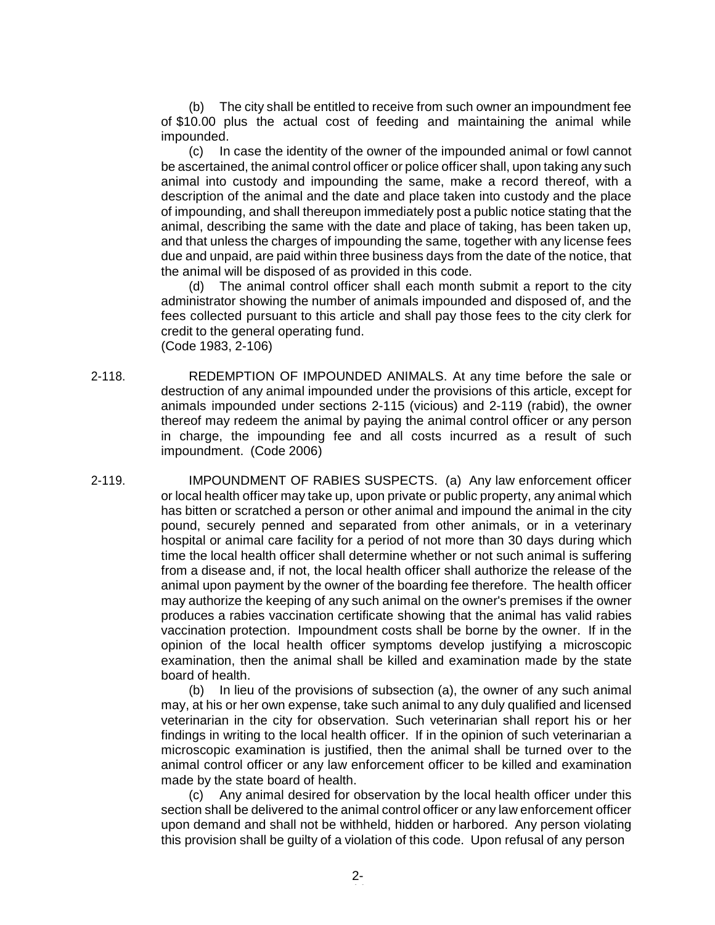(b) The city shall be entitled to receive from such owner an impoundment fee of \$10.00 plus the actual cost of feeding and maintaining the animal while impounded.

(c) In case the identity of the owner of the impounded animal or fowl cannot be ascertained, the animal control officer or police officer shall, upon taking any such animal into custody and impounding the same, make a record thereof, with a description of the animal and the date and place taken into custody and the place of impounding, and shall thereupon immediately post a public notice stating that the animal, describing the same with the date and place of taking, has been taken up, and that unless the charges of impounding the same, together with any license fees due and unpaid, are paid within three business days from the date of the notice, that the animal will be disposed of as provided in this code.

(d) The animal control officer shall each month submit a report to the city administrator showing the number of animals impounded and disposed of, and the fees collected pursuant to this article and shall pay those fees to the city clerk for credit to the general operating fund. (Code 1983, 2-106)

- 2-118. REDEMPTION OF IMPOUNDED ANIMALS. At any time before the sale or destruction of any animal impounded under the provisions of this article, except for animals impounded under sections 2-115 (vicious) and 2-119 (rabid), the owner thereof may redeem the animal by paying the animal control officer or any person in charge, the impounding fee and all costs incurred as a result of such impoundment. (Code 2006)
- 2-119. IMPOUNDMENT OF RABIES SUSPECTS. (a) Any law enforcement officer or local health officer may take up, upon private or public property, any animal which has bitten or scratched a person or other animal and impound the animal in the city pound, securely penned and separated from other animals, or in a veterinary hospital or animal care facility for a period of not more than 30 days during which time the local health officer shall determine whether or not such animal is suffering from a disease and, if not, the local health officer shall authorize the release of the animal upon payment by the owner of the boarding fee therefore. The health officer may authorize the keeping of any such animal on the owner's premises if the owner produces a rabies vaccination certificate showing that the animal has valid rabies vaccination protection. Impoundment costs shall be borne by the owner. If in the opinion of the local health officer symptoms develop justifying a microscopic examination, then the animal shall be killed and examination made by the state board of health.

(b) In lieu of the provisions of subsection (a), the owner of any such animal may, at his or her own expense, take such animal to any duly qualified and licensed veterinarian in the city for observation. Such veterinarian shall report his or her findings in writing to the local health officer. If in the opinion of such veterinarian a microscopic examination is justified, then the animal shall be turned over to the animal control officer or any law enforcement officer to be killed and examination made by the state board of health.

(c) Any animal desired for observation by the local health officer under this section shall be delivered to the animal control officer or any law enforcement officer upon demand and shall not be withheld, hidden or harbored. Any person violating this provision shall be guilty of a violation of this code. Upon refusal of any person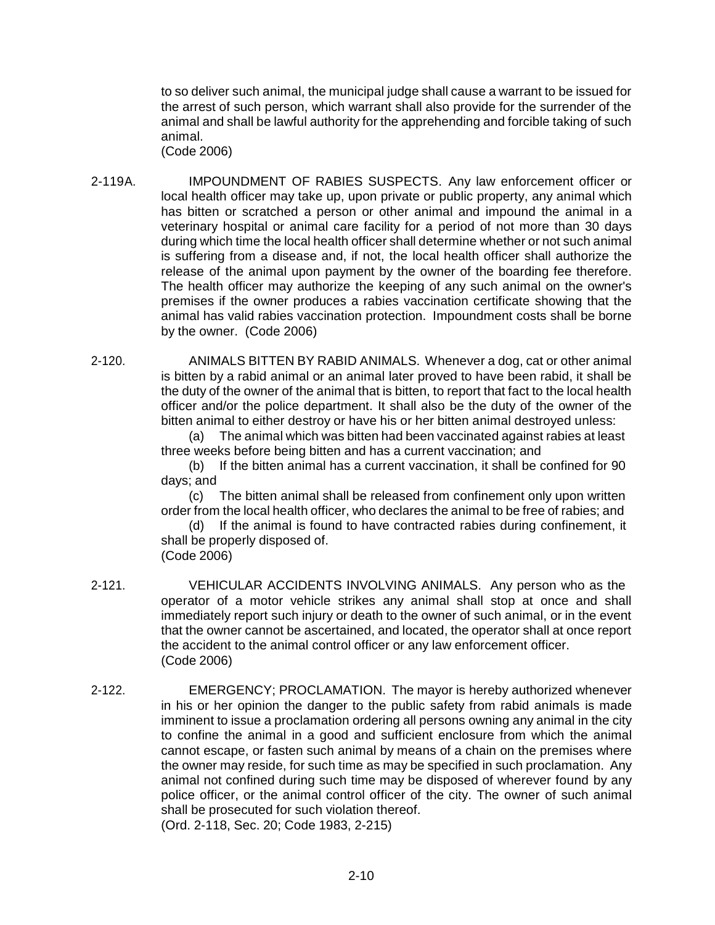to so deliver such animal, the municipal judge shall cause a warrant to be issued for the arrest of such person, which warrant shall also provide for the surrender of the animal and shall be lawful authority for the apprehending and forcible taking of such animal.

(Code 2006)

- 2-119A. IMPOUNDMENT OF RABIES SUSPECTS. Any law enforcement officer or local health officer may take up, upon private or public property, any animal which has bitten or scratched a person or other animal and impound the animal in a veterinary hospital or animal care facility for a period of not more than 30 days during which time the local health officer shall determine whether or not such animal is suffering from a disease and, if not, the local health officer shall authorize the release of the animal upon payment by the owner of the boarding fee therefore. The health officer may authorize the keeping of any such animal on the owner's premises if the owner produces a rabies vaccination certificate showing that the animal has valid rabies vaccination protection. Impoundment costs shall be borne by the owner. (Code 2006)
- 2-120. ANIMALS BITTEN BY RABID ANIMALS. Whenever a dog, cat or other animal is bitten by a rabid animal or an animal later proved to have been rabid, it shall be the duty of the owner of the animal that is bitten, to report that fact to the local health officer and/or the police department. It shall also be the duty of the owner of the bitten animal to either destroy or have his or her bitten animal destroyed unless:

(a) The animal which was bitten had been vaccinated against rabies at least three weeks before being bitten and has a current vaccination; and

(b) If the bitten animal has a current vaccination, it shall be confined for 90 days; and

(c) The bitten animal shall be released from confinement only upon written order from the local health officer, who declares the animal to be free of rabies; and

(d) If the animal is found to have contracted rabies during confinement, it shall be properly disposed of. (Code 2006)

- 2-121. VEHICULAR ACCIDENTS INVOLVING ANIMALS. Any person who as the operator of a motor vehicle strikes any animal shall stop at once and shall immediately report such injury or death to the owner of such animal, or in the event that the owner cannot be ascertained, and located, the operator shall at once report the accident to the animal control officer or any law enforcement officer. (Code 2006)
- 2-122. EMERGENCY; PROCLAMATION. The mayor is hereby authorized whenever in his or her opinion the danger to the public safety from rabid animals is made imminent to issue a proclamation ordering all persons owning any animal in the city to confine the animal in a good and sufficient enclosure from which the animal cannot escape, or fasten such animal by means of a chain on the premises where the owner may reside, for such time as may be specified in such proclamation. Any animal not confined during such time may be disposed of wherever found by any police officer, or the animal control officer of the city. The owner of such animal shall be prosecuted for such violation thereof. (Ord. 2-118, Sec. 20; Code 1983, 2-215)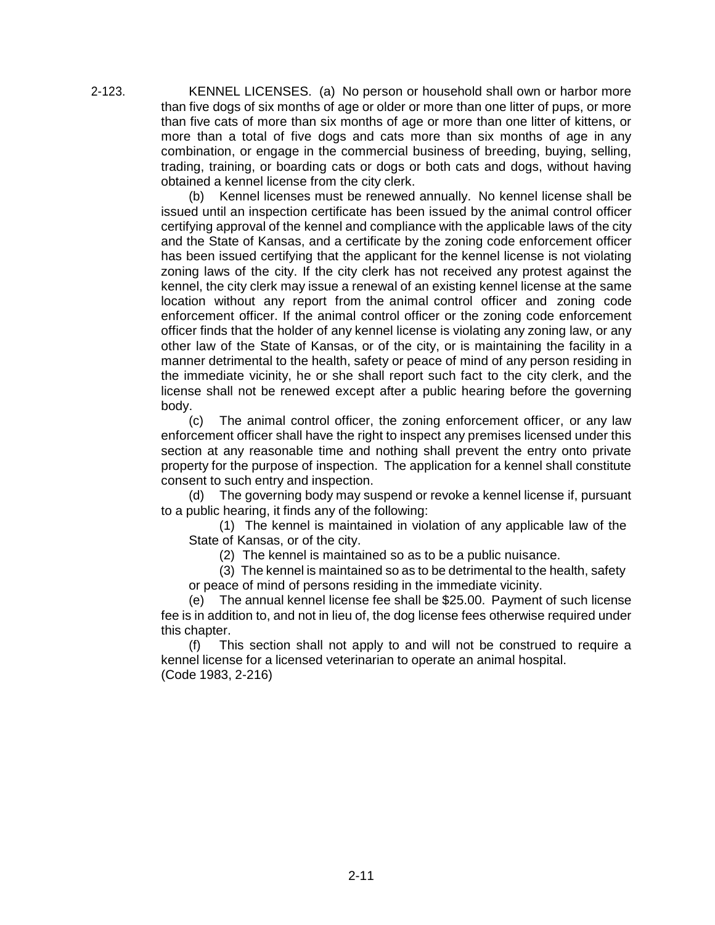2-123. KENNEL LICENSES. (a) No person or household shall own or harbor more than five dogs of six months of age or older or more than one litter of pups, or more than five cats of more than six months of age or more than one litter of kittens, or more than a total of five dogs and cats more than six months of age in any combination, or engage in the commercial business of breeding, buying, selling, trading, training, or boarding cats or dogs or both cats and dogs, without having obtained a kennel license from the city clerk.

> (b) Kennel licenses must be renewed annually. No kennel license shall be issued until an inspection certificate has been issued by the animal control officer certifying approval of the kennel and compliance with the applicable laws of the city and the State of Kansas, and a certificate by the zoning code enforcement officer has been issued certifying that the applicant for the kennel license is not violating zoning laws of the city. If the city clerk has not received any protest against the kennel, the city clerk may issue a renewal of an existing kennel license at the same location without any report from the animal control officer and zoning code enforcement officer. If the animal control officer or the zoning code enforcement officer finds that the holder of any kennel license is violating any zoning law, or any other law of the State of Kansas, or of the city, or is maintaining the facility in a manner detrimental to the health, safety or peace of mind of any person residing in the immediate vicinity, he or she shall report such fact to the city clerk, and the license shall not be renewed except after a public hearing before the governing body.

> (c) The animal control officer, the zoning enforcement officer, or any law enforcement officer shall have the right to inspect any premises licensed under this section at any reasonable time and nothing shall prevent the entry onto private property for the purpose of inspection. The application for a kennel shall constitute consent to such entry and inspection.

> (d) The governing body may suspend or revoke a kennel license if, pursuant to a public hearing, it finds any of the following:

(1) The kennel is maintained in violation of any applicable law of the State of Kansas, or of the city.

(2) The kennel is maintained so as to be a public nuisance.

(3) The kennel is maintained so as to be detrimental to the health, safety or peace of mind of persons residing in the immediate vicinity.

(e) The annual kennel license fee shall be \$25.00. Payment of such license fee is in addition to, and not in lieu of, the dog license fees otherwise required under this chapter.

(f) This section shall not apply to and will not be construed to require a kennel license for a licensed veterinarian to operate an animal hospital. (Code 1983, 2-216)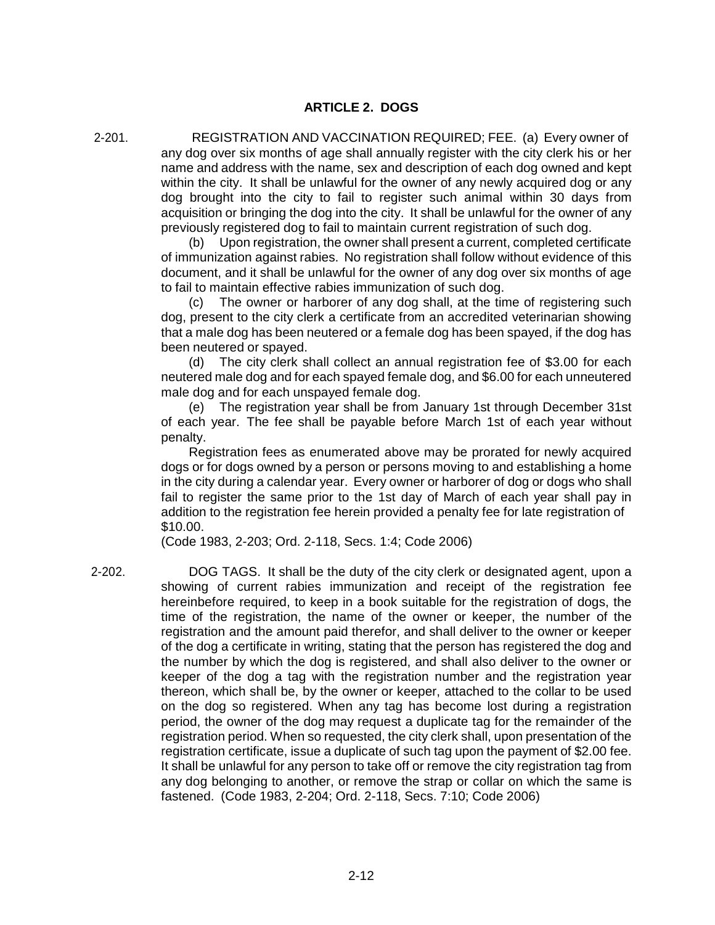2-201. REGISTRATION AND VACCINATION REQUIRED; FEE. (a) Every owner of any dog over six months of age shall annually register with the city clerk his or her name and address with the name, sex and description of each dog owned and kept within the city. It shall be unlawful for the owner of any newly acquired dog or any dog brought into the city to fail to register such animal within 30 days from acquisition or bringing the dog into the city. It shall be unlawful for the owner of any previously registered dog to fail to maintain current registration of such dog.

(b) Upon registration, the owner shall present a current, completed certificate of immunization against rabies. No registration shall follow without evidence of this document, and it shall be unlawful for the owner of any dog over six months of age to fail to maintain effective rabies immunization of such dog.

(c) The owner or harborer of any dog shall, at the time of registering such dog, present to the city clerk a certificate from an accredited veterinarian showing that a male dog has been neutered or a female dog has been spayed, if the dog has been neutered or spayed.

(d) The city clerk shall collect an annual registration fee of \$3.00 for each neutered male dog and for each spayed female dog, and \$6.00 for each unneutered male dog and for each unspayed female dog.

(e) The registration year shall be from January 1st through December 31st of each year. The fee shall be payable before March 1st of each year without penalty.

Registration fees as enumerated above may be prorated for newly acquired dogs or for dogs owned by a person or persons moving to and establishing a home in the city during a calendar year. Every owner or harborer of dog or dogs who shall fail to register the same prior to the 1st day of March of each year shall pay in addition to the registration fee herein provided a penalty fee for late registration of \$10.00.

(Code 1983, 2-203; Ord. 2-118, Secs. 1:4; Code 2006)

2-202. DOG TAGS. It shall be the duty of the city clerk or designated agent, upon a showing of current rabies immunization and receipt of the registration fee hereinbefore required, to keep in a book suitable for the registration of dogs, the time of the registration, the name of the owner or keeper, the number of the registration and the amount paid therefor, and shall deliver to the owner or keeper of the dog a certificate in writing, stating that the person has registered the dog and the number by which the dog is registered, and shall also deliver to the owner or keeper of the dog a tag with the registration number and the registration year thereon, which shall be, by the owner or keeper, attached to the collar to be used on the dog so registered. When any tag has become lost during a registration period, the owner of the dog may request a duplicate tag for the remainder of the registration period. When so requested, the city clerk shall, upon presentation of the registration certificate, issue a duplicate of such tag upon the payment of \$2.00 fee. It shall be unlawful for any person to take off or remove the city registration tag from any dog belonging to another, or remove the strap or collar on which the same is fastened. (Code 1983, 2-204; Ord. 2-118, Secs. 7:10; Code 2006)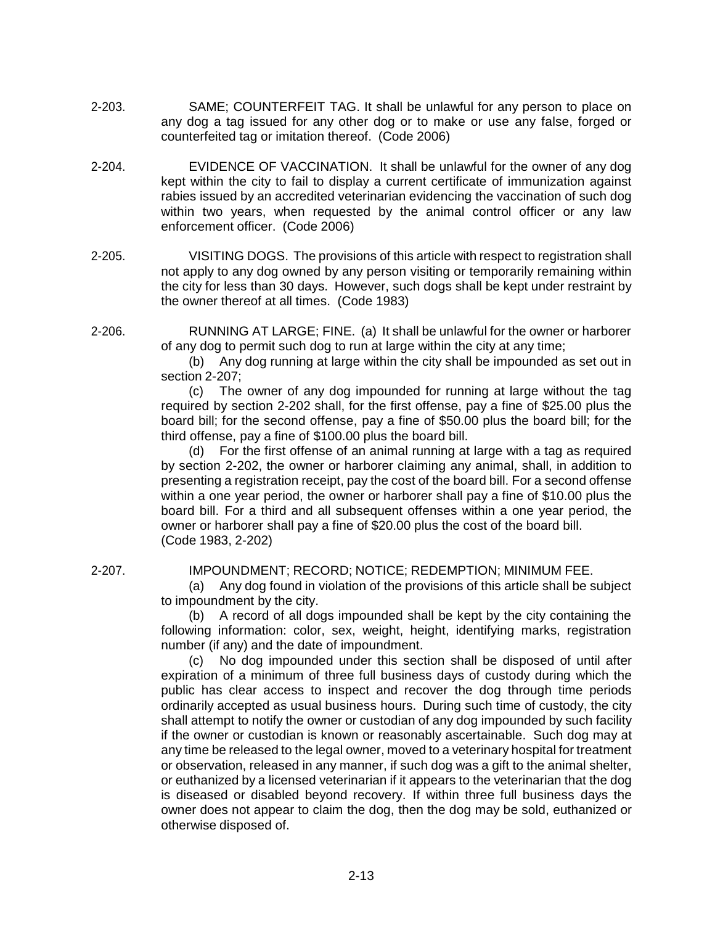- 2-203. SAME; COUNTERFEIT TAG. It shall be unlawful for any person to place on any dog a tag issued for any other dog or to make or use any false, forged or counterfeited tag or imitation thereof. (Code 2006)
- 2-204. EVIDENCE OF VACCINATION. It shall be unlawful for the owner of any dog kept within the city to fail to display a current certificate of immunization against rabies issued by an accredited veterinarian evidencing the vaccination of such dog within two years, when requested by the animal control officer or any law enforcement officer. (Code 2006)
- 2-205. VISITING DOGS. The provisions of this article with respect to registration shall not apply to any dog owned by any person visiting or temporarily remaining within the city for less than 30 days. However, such dogs shall be kept under restraint by the owner thereof at all times. (Code 1983)
- 2-206. RUNNING AT LARGE; FINE. (a) It shall be unlawful for the owner or harborer of any dog to permit such dog to run at large within the city at any time;

(b) Any dog running at large within the city shall be impounded as set out in section 2-207;

(c) The owner of any dog impounded for running at large without the tag required by section 2-202 shall, for the first offense, pay a fine of \$25.00 plus the board bill; for the second offense, pay a fine of \$50.00 plus the board bill; for the third offense, pay a fine of \$100.00 plus the board bill.

(d) For the first offense of an animal running at large with a tag as required by section 2-202, the owner or harborer claiming any animal, shall, in addition to presenting a registration receipt, pay the cost of the board bill. For a second offense within a one year period, the owner or harborer shall pay a fine of \$10.00 plus the board bill. For a third and all subsequent offenses within a one year period, the owner or harborer shall pay a fine of \$20.00 plus the cost of the board bill. (Code 1983, 2-202)

## 2-207. IMPOUNDMENT; RECORD; NOTICE; REDEMPTION; MINIMUM FEE.

(a) Any dog found in violation of the provisions of this article shall be subject to impoundment by the city.

(b) A record of all dogs impounded shall be kept by the city containing the following information: color, sex, weight, height, identifying marks, registration number (if any) and the date of impoundment.

No dog impounded under this section shall be disposed of until after expiration of a minimum of three full business days of custody during which the public has clear access to inspect and recover the dog through time periods ordinarily accepted as usual business hours. During such time of custody, the city shall attempt to notify the owner or custodian of any dog impounded by such facility if the owner or custodian is known or reasonably ascertainable. Such dog may at any time be released to the legal owner, moved to a veterinary hospital for treatment or observation, released in any manner, if such dog was a gift to the animal shelter, or euthanized by a licensed veterinarian if it appears to the veterinarian that the dog is diseased or disabled beyond recovery. If within three full business days the owner does not appear to claim the dog, then the dog may be sold, euthanized or otherwise disposed of.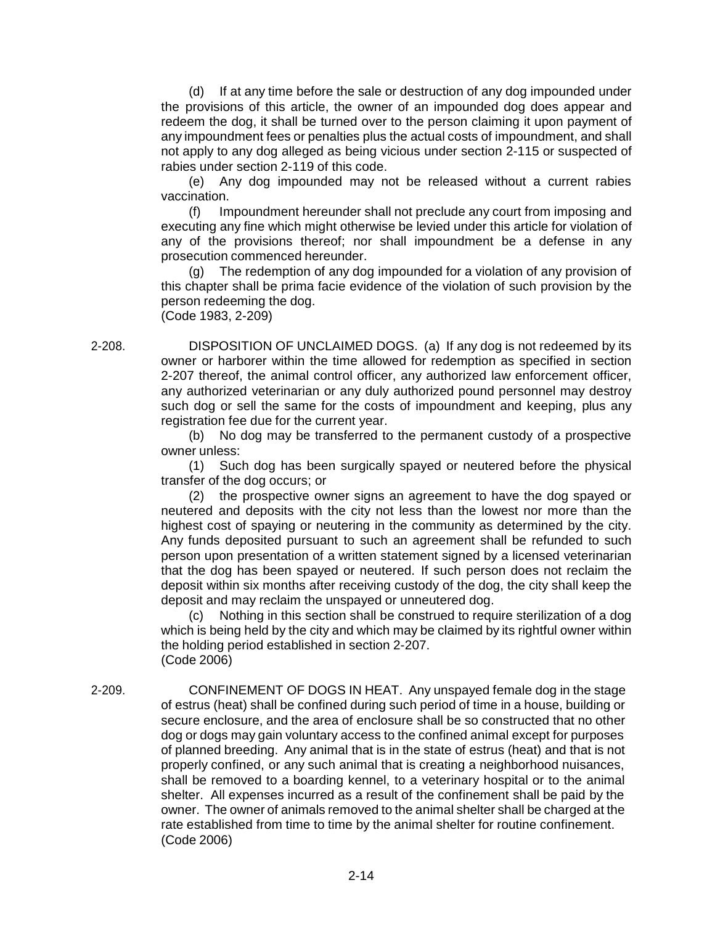(d) If at any time before the sale or destruction of any dog impounded under the provisions of this article, the owner of an impounded dog does appear and redeem the dog, it shall be turned over to the person claiming it upon payment of any impoundment fees or penalties plus the actual costs of impoundment, and shall not apply to any dog alleged as being vicious under section 2-115 or suspected of rabies under section 2-119 of this code.

(e) Any dog impounded may not be released without a current rabies vaccination.

(f) Impoundment hereunder shall not preclude any court from imposing and executing any fine which might otherwise be levied under this article for violation of any of the provisions thereof; nor shall impoundment be a defense in any prosecution commenced hereunder.

(g) The redemption of any dog impounded for a violation of any provision of this chapter shall be prima facie evidence of the violation of such provision by the person redeeming the dog. (Code 1983, 2-209)

2-208. DISPOSITION OF UNCLAIMED DOGS. (a) If any dog is not redeemed by its owner or harborer within the time allowed for redemption as specified in section 2-207 thereof, the animal control officer, any authorized law enforcement officer, any authorized veterinarian or any duly authorized pound personnel may destroy such dog or sell the same for the costs of impoundment and keeping, plus any registration fee due for the current year.

(b) No dog may be transferred to the permanent custody of a prospective owner unless:

(1) Such dog has been surgically spayed or neutered before the physical transfer of the dog occurs; or

(2) the prospective owner signs an agreement to have the dog spayed or neutered and deposits with the city not less than the lowest nor more than the highest cost of spaying or neutering in the community as determined by the city. Any funds deposited pursuant to such an agreement shall be refunded to such person upon presentation of a written statement signed by a licensed veterinarian that the dog has been spayed or neutered. If such person does not reclaim the deposit within six months after receiving custody of the dog, the city shall keep the deposit and may reclaim the unspayed or unneutered dog.

(c) Nothing in this section shall be construed to require sterilization of a dog which is being held by the city and which may be claimed by its rightful owner within the holding period established in section 2-207. (Code 2006)

2-209. CONFINEMENT OF DOGS IN HEAT. Any unspayed female dog in the stage of estrus (heat) shall be confined during such period of time in a house, building or secure enclosure, and the area of enclosure shall be so constructed that no other dog or dogs may gain voluntary access to the confined animal except for purposes of planned breeding. Any animal that is in the state of estrus (heat) and that is not properly confined, or any such animal that is creating a neighborhood nuisances, shall be removed to a boarding kennel, to a veterinary hospital or to the animal shelter. All expenses incurred as a result of the confinement shall be paid by the owner. The owner of animals removed to the animal shelter shall be charged at the rate established from time to time by the animal shelter for routine confinement. (Code 2006)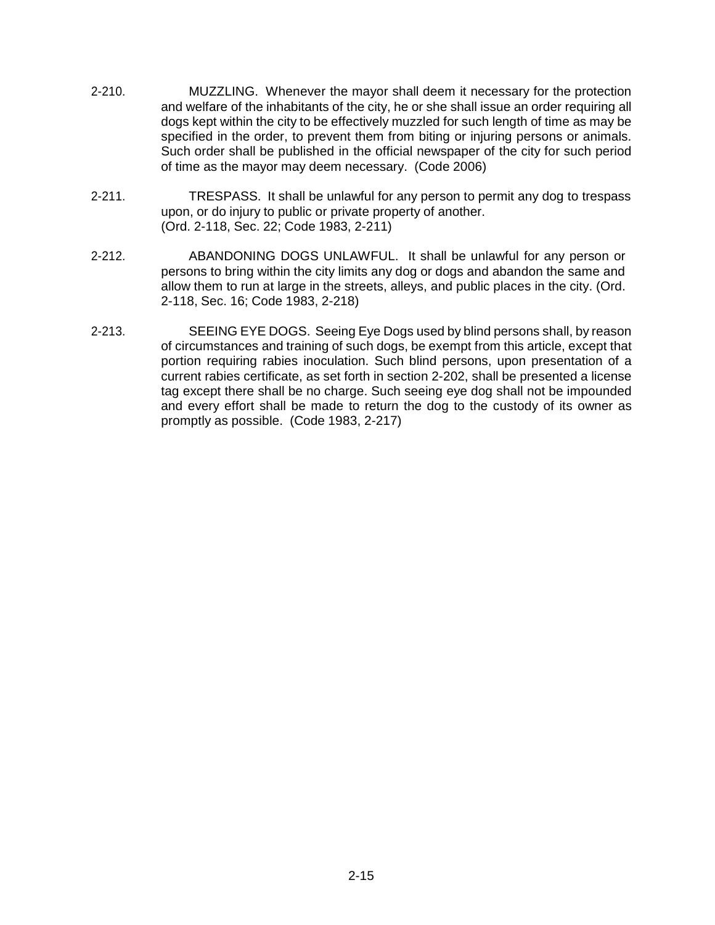- 2-210. MUZZLING. Whenever the mayor shall deem it necessary for the protection and welfare of the inhabitants of the city, he or she shall issue an order requiring all dogs kept within the city to be effectively muzzled for such length of time as may be specified in the order, to prevent them from biting or injuring persons or animals. Such order shall be published in the official newspaper of the city for such period of time as the mayor may deem necessary. (Code 2006)
- 2-211. TRESPASS. It shall be unlawful for any person to permit any dog to trespass upon, or do injury to public or private property of another. (Ord. 2-118, Sec. 22; Code 1983, 2-211)
- 2-212. ABANDONING DOGS UNLAWFUL. It shall be unlawful for any person or persons to bring within the city limits any dog or dogs and abandon the same and allow them to run at large in the streets, alleys, and public places in the city. (Ord. 2-118, Sec. 16; Code 1983, 2-218)
- 2-213. SEEING EYE DOGS. Seeing Eye Dogs used by blind persons shall, by reason of circumstances and training of such dogs, be exempt from this article, except that portion requiring rabies inoculation. Such blind persons, upon presentation of a current rabies certificate, as set forth in section 2-202, shall be presented a license tag except there shall be no charge. Such seeing eye dog shall not be impounded and every effort shall be made to return the dog to the custody of its owner as promptly as possible. (Code 1983, 2-217)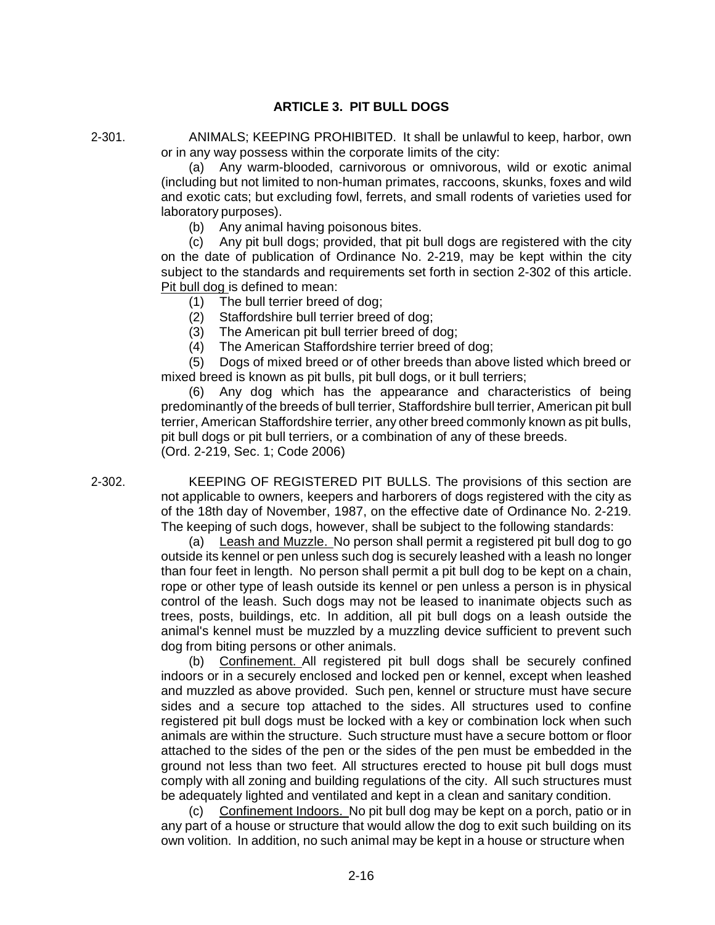## **ARTICLE 3. PIT BULL DOGS**

2-301. ANIMALS; KEEPING PROHIBITED. It shall be unlawful to keep, harbor, own or in any way possess within the corporate limits of the city:

> (a) Any warm-blooded, carnivorous or omnivorous, wild or exotic animal (including but not limited to non-human primates, raccoons, skunks, foxes and wild and exotic cats; but excluding fowl, ferrets, and small rodents of varieties used for laboratory purposes).

(b) Any animal having poisonous bites.

(c) Any pit bull dogs; provided, that pit bull dogs are registered with the city on the date of publication of Ordinance No. 2-219, may be kept within the city subject to the standards and requirements set forth in section 2-302 of this article. Pit bull dog is defined to mean:

- (1) The bull terrier breed of dog;
- (2) Staffordshire bull terrier breed of dog;

(3) The American pit bull terrier breed of dog;

(4) The American Staffordshire terrier breed of dog;

(5) Dogs of mixed breed or of other breeds than above listed which breed or mixed breed is known as pit bulls, pit bull dogs, or it bull terriers;

(6) Any dog which has the appearance and characteristics of being predominantly of the breeds of bull terrier, Staffordshire bull terrier, American pit bull terrier, American Staffordshire terrier, any other breed commonly known as pit bulls, pit bull dogs or pit bull terriers, or a combination of any of these breeds. (Ord. 2-219, Sec. 1; Code 2006)

2-302. KEEPING OF REGISTERED PIT BULLS. The provisions of this section are not applicable to owners, keepers and harborers of dogs registered with the city as of the 18th day of November, 1987, on the effective date of Ordinance No. 2-219. The keeping of such dogs, however, shall be subject to the following standards:

(a) Leash and Muzzle. No person shall permit a registered pit bull dog to go outside its kennel or pen unless such dog is securely leashed with a leash no longer than four feet in length. No person shall permit a pit bull dog to be kept on a chain, rope or other type of leash outside its kennel or pen unless a person is in physical control of the leash. Such dogs may not be leased to inanimate objects such as trees, posts, buildings, etc. In addition, all pit bull dogs on a leash outside the animal's kennel must be muzzled by a muzzling device sufficient to prevent such dog from biting persons or other animals.

(b) Confinement. All registered pit bull dogs shall be securely confined indoors or in a securely enclosed and locked pen or kennel, except when leashed and muzzled as above provided. Such pen, kennel or structure must have secure sides and a secure top attached to the sides. All structures used to confine registered pit bull dogs must be locked with a key or combination lock when such animals are within the structure. Such structure must have a secure bottom or floor attached to the sides of the pen or the sides of the pen must be embedded in the ground not less than two feet. All structures erected to house pit bull dogs must comply with all zoning and building regulations of the city. All such structures must be adequately lighted and ventilated and kept in a clean and sanitary condition.

(c) Confinement Indoors. No pit bull dog may be kept on a porch, patio or in any part of a house or structure that would allow the dog to exit such building on its own volition. In addition, no such animal may be kept in a house or structure when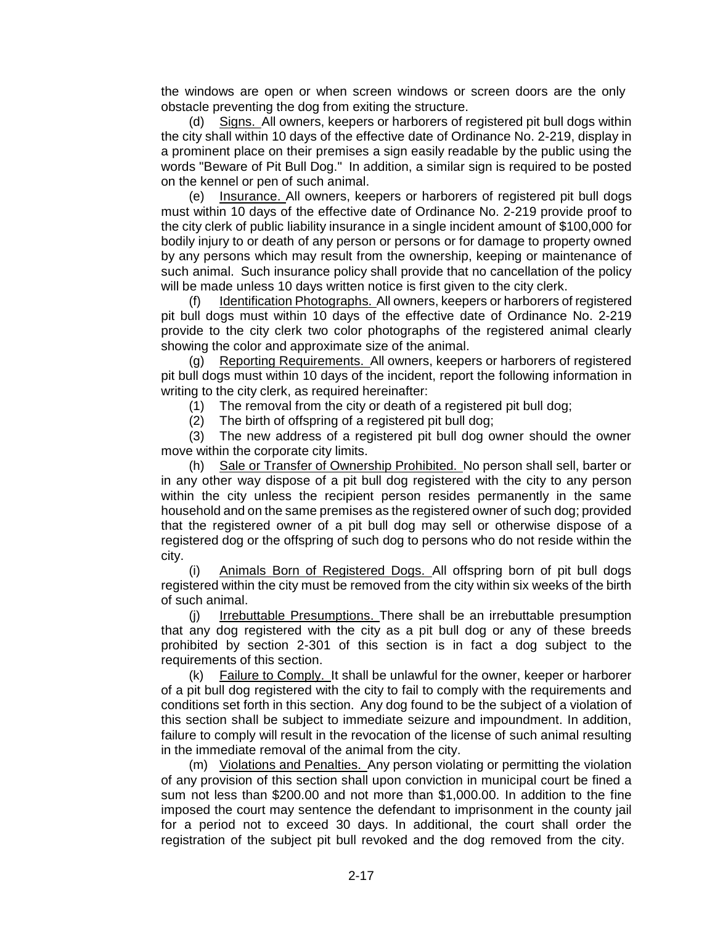the windows are open or when screen windows or screen doors are the only obstacle preventing the dog from exiting the structure.

(d) Signs. All owners, keepers or harborers of registered pit bull dogs within the city shall within 10 days of the effective date of Ordinance No. 2-219, display in a prominent place on their premises a sign easily readable by the public using the words "Beware of Pit Bull Dog." In addition, a similar sign is required to be posted on the kennel or pen of such animal.

(e) Insurance. All owners, keepers or harborers of registered pit bull dogs must within 10 days of the effective date of Ordinance No. 2-219 provide proof to the city clerk of public liability insurance in a single incident amount of \$100,000 for bodily injury to or death of any person or persons or for damage to property owned by any persons which may result from the ownership, keeping or maintenance of such animal. Such insurance policy shall provide that no cancellation of the policy will be made unless 10 days written notice is first given to the city clerk.

(f) Identification Photographs. All owners, keepers or harborers of registered pit bull dogs must within 10 days of the effective date of Ordinance No. 2-219 provide to the city clerk two color photographs of the registered animal clearly showing the color and approximate size of the animal.

(g) Reporting Requirements. All owners, keepers or harborers of registered pit bull dogs must within 10 days of the incident, report the following information in writing to the city clerk, as required hereinafter:

(1) The removal from the city or death of a registered pit bull dog;

(2) The birth of offspring of a registered pit bull dog;

(3) The new address of a registered pit bull dog owner should the owner move within the corporate city limits.

(h) Sale or Transfer of Ownership Prohibited. No person shall sell, barter or in any other way dispose of a pit bull dog registered with the city to any person within the city unless the recipient person resides permanently in the same household and on the same premises as the registered owner of such dog; provided that the registered owner of a pit bull dog may sell or otherwise dispose of a registered dog or the offspring of such dog to persons who do not reside within the city.

(i) Animals Born of Registered Dogs. All offspring born of pit bull dogs registered within the city must be removed from the city within six weeks of the birth of such animal.

(j) Irrebuttable Presumptions. There shall be an irrebuttable presumption that any dog registered with the city as a pit bull dog or any of these breeds prohibited by section 2-301 of this section is in fact a dog subject to the requirements of this section.

(k) Failure to Comply. It shall be unlawful for the owner, keeper or harborer of a pit bull dog registered with the city to fail to comply with the requirements and conditions set forth in this section. Any dog found to be the subject of a violation of this section shall be subject to immediate seizure and impoundment. In addition, failure to comply will result in the revocation of the license of such animal resulting in the immediate removal of the animal from the city.

(m) Violations and Penalties. Any person violating or permitting the violation of any provision of this section shall upon conviction in municipal court be fined a sum not less than \$200.00 and not more than \$1,000.00. In addition to the fine imposed the court may sentence the defendant to imprisonment in the county jail for a period not to exceed 30 days. In additional, the court shall order the registration of the subject pit bull revoked and the dog removed from the city.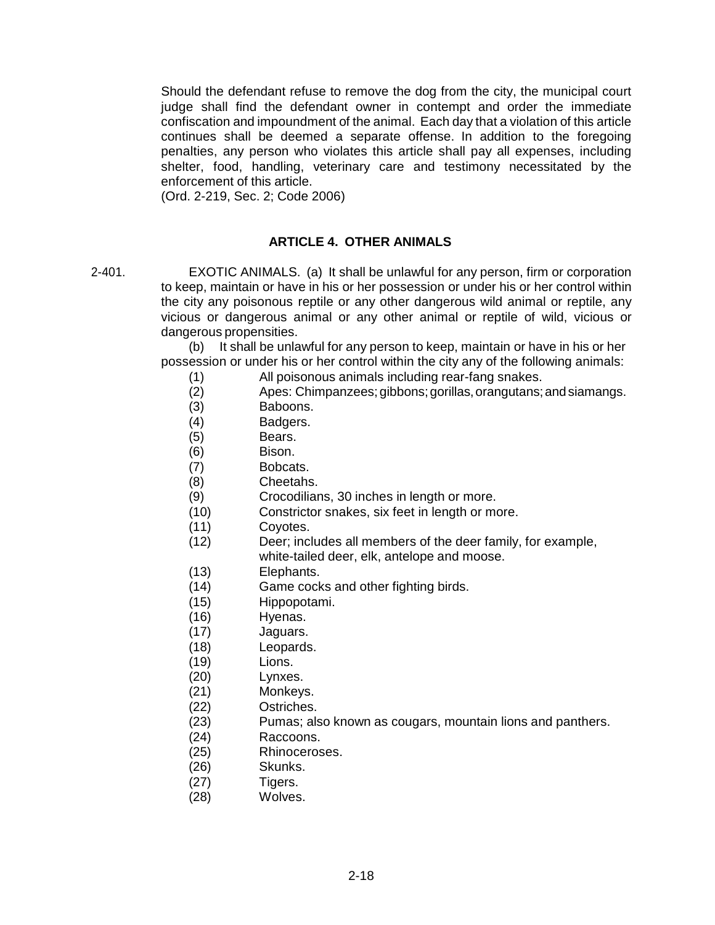Should the defendant refuse to remove the dog from the city, the municipal court judge shall find the defendant owner in contempt and order the immediate confiscation and impoundment of the animal. Each day that a violation of this article continues shall be deemed a separate offense. In addition to the foregoing penalties, any person who violates this article shall pay all expenses, including shelter, food, handling, veterinary care and testimony necessitated by the enforcement of this article.

(Ord. 2-219, Sec. 2; Code 2006)

# **ARTICLE 4. OTHER ANIMALS**

2-401. EXOTIC ANIMALS. (a) It shall be unlawful for any person, firm or corporation to keep, maintain or have in his or her possession or under his or her control within the city any poisonous reptile or any other dangerous wild animal or reptile, any vicious or dangerous animal or any other animal or reptile of wild, vicious or dangerous propensities.

> (b) It shall be unlawful for any person to keep, maintain or have in his or her possession or under his or her control within the city any of the following animals:

- (1) All poisonous animals including rear-fang snakes.
- (2) Apes: Chimpanzees;gibbons;gorillas,orangutans;andsiamangs.
- (3) Baboons.
- (4) Badgers.
- (5) Bears.
- (6) Bison.
- (7) Bobcats.
- (8) Cheetahs.
- (9) Crocodilians, 30 inches in length or more.
- (10) Constrictor snakes, six feet in length or more.
- (11) Coyotes.
- (12) Deer; includes all members of the deer family, for example, white-tailed deer, elk, antelope and moose.
- 
- (13) Elephants.
- (14) Game cocks and other fighting birds.
- (15) Hippopotami.
- (16) Hyenas.
- (17) Jaguars.
- (18) Leopards.
- (19) Lions.
- (20) Lynxes.
- (21) Monkeys.
- (22) Ostriches.
- (23) Pumas; also known as cougars, mountain lions and panthers.
- (24) Raccoons.
- (25) Rhinoceroses.
- (26) Skunks.
- (27) Tigers.
- (28) Wolves.